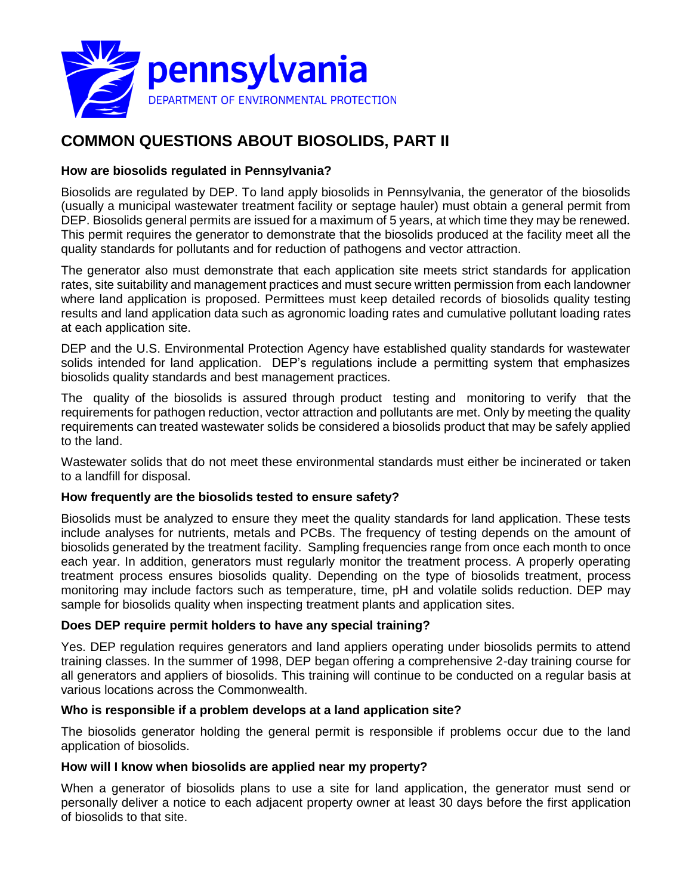

# **COMMON QUESTIONS ABOUT BIOSOLIDS, PART II**

## **How are biosolids regulated in Pennsylvania?**

Biosolids are regulated by DEP. To land apply biosolids in Pennsylvania, the generator of the biosolids (usually a municipal wastewater treatment facility or septage hauler) must obtain a general permit from DEP. Biosolids general permits are issued for a maximum of 5 years, at which time they may be renewed. This permit requires the generator to demonstrate that the biosolids produced at the facility meet all the quality standards for pollutants and for reduction of pathogens and vector attraction.

The generator also must demonstrate that each application site meets strict standards for application rates, site suitability and management practices and must secure written permission from each landowner where land application is proposed. Permittees must keep detailed records of biosolids quality testing results and land application data such as agronomic loading rates and cumulative pollutant loading rates at each application site.

DEP and the U.S. Environmental Protection Agency have established quality standards for wastewater solids intended for land application. DEP's regulations include a permitting system that emphasizes biosolids quality standards and best management practices.

The quality of the biosolids is assured through product testing and monitoring to verify that the requirements for pathogen reduction, vector attraction and pollutants are met. Only by meeting the quality requirements can treated wastewater solids be considered a biosolids product that may be safely applied to the land.

Wastewater solids that do not meet these environmental standards must either be incinerated or taken to a landfill for disposal.

## **How frequently are the biosolids tested to ensure safety?**

Biosolids must be analyzed to ensure they meet the quality standards for land application. These tests include analyses for nutrients, metals and PCBs. The frequency of testing depends on the amount of biosolids generated by the treatment facility. Sampling frequencies range from once each month to once each year. In addition, generators must regularly monitor the treatment process. A properly operating treatment process ensures biosolids quality. Depending on the type of biosolids treatment, process monitoring may include factors such as temperature, time, pH and volatile solids reduction. DEP may sample for biosolids quality when inspecting treatment plants and application sites.

## **Does DEP require permit holders to have any special training?**

Yes. DEP regulation requires generators and land appliers operating under biosolids permits to attend training classes. In the summer of 1998, DEP began offering a comprehensive 2-day training course for all generators and appliers of biosolids. This training will continue to be conducted on a regular basis at various locations across the Commonwealth.

#### **Who is responsible if a problem develops at a land application site?**

The biosolids generator holding the general permit is responsible if problems occur due to the land application of biosolids.

## **How will I know when biosolids are applied near my property?**

When a generator of biosolids plans to use a site for land application, the generator must send or personally deliver a notice to each adjacent property owner at least 30 days before the first application of biosolids to that site.